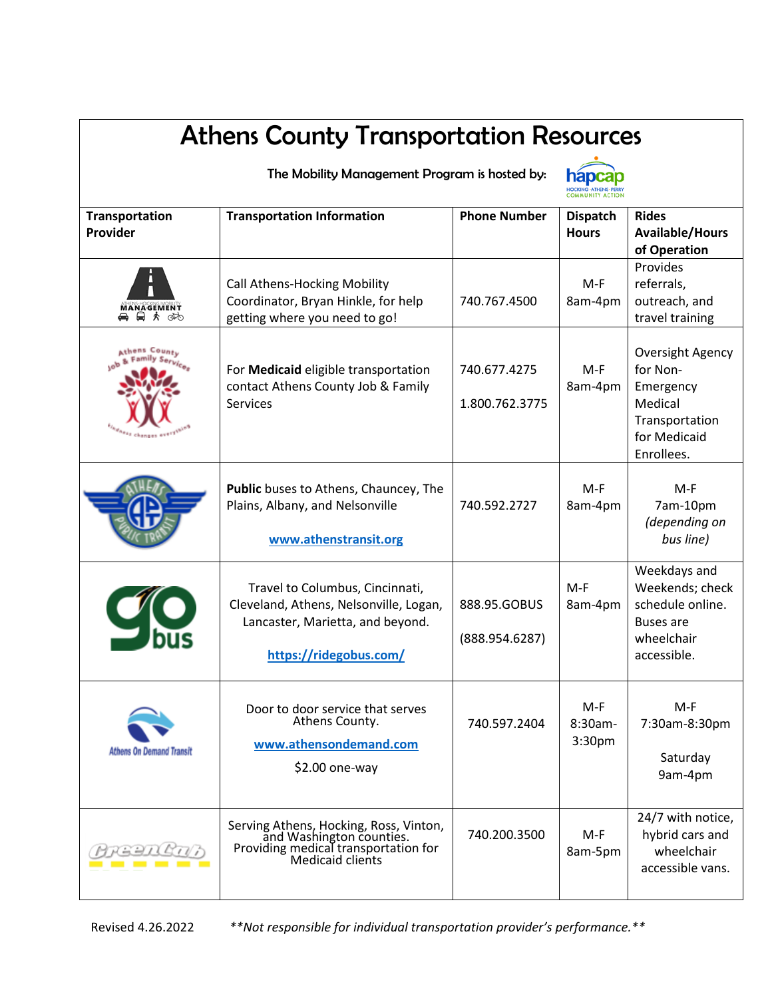| <b>Athens County Transportation Resources</b> |                                                                                                                                         |                                |                                 |                                                                                                      |  |  |
|-----------------------------------------------|-----------------------------------------------------------------------------------------------------------------------------------------|--------------------------------|---------------------------------|------------------------------------------------------------------------------------------------------|--|--|
| The Mobility Management Program is hosted by: |                                                                                                                                         |                                |                                 |                                                                                                      |  |  |
| <b>Transportation</b><br>Provider             | <b>Transportation Information</b>                                                                                                       | <b>Phone Number</b>            | <b>Dispatch</b><br><b>Hours</b> | <b>Rides</b><br><b>Available/Hours</b><br>of Operation                                               |  |  |
| <b>MANAGEMENT</b><br>▲ ■ ★ ☞                  | <b>Call Athens-Hocking Mobility</b><br>Coordinator, Bryan Hinkle, for help<br>getting where you need to go!                             | 740.767.4500                   | $M-F$<br>8am-4pm                | Provides<br>referrals,<br>outreach, and<br>travel training                                           |  |  |
| Athens Coun<br>Channes 677                    | For Medicaid eligible transportation<br>contact Athens County Job & Family<br><b>Services</b>                                           | 740.677.4275<br>1.800.762.3775 | $M-F$<br>8am-4pm                | Oversight Agency<br>for Non-<br>Emergency<br>Medical<br>Transportation<br>for Medicaid<br>Enrollees. |  |  |
|                                               | Public buses to Athens, Chauncey, The<br>Plains, Albany, and Nelsonville<br>www.athenstransit.org                                       | 740.592.2727                   | M-F<br>8am-4pm                  | M-F<br>7am-10pm<br>(depending on<br>bus line)                                                        |  |  |
|                                               | Travel to Columbus, Cincinnati,<br>Cleveland, Athens, Nelsonville, Logan,<br>Lancaster, Marietta, and beyond.<br>https://ridegobus.com/ | 888.95.GOBUS<br>(888.954.6287) | $M-F$<br>8am-4pm                | Weekdays and<br>Weekends; check<br>schedule online.<br>Buses are<br>wheelchair<br>accessible.        |  |  |
| <b>Athens On Demand Transit</b>               | Door to door service that serves<br>Athens County.<br>www.athensondemand.com<br>$$2.00$ one-way                                         | 740.597.2404                   | $M-F$<br>8:30am-<br>3:30pm      | $M-F$<br>7:30am-8:30pm<br>Saturday<br>9am-4pm                                                        |  |  |
|                                               | Serving Athens, Hocking, Ross, Vinton,<br>and Washington counties.<br>Providing medical transportation for<br>Medicaid clients          | 740.200.3500                   | $M-F$<br>8am-5pm                | 24/7 with notice,<br>hybrid cars and<br>wheelchair<br>accessible vans.                               |  |  |